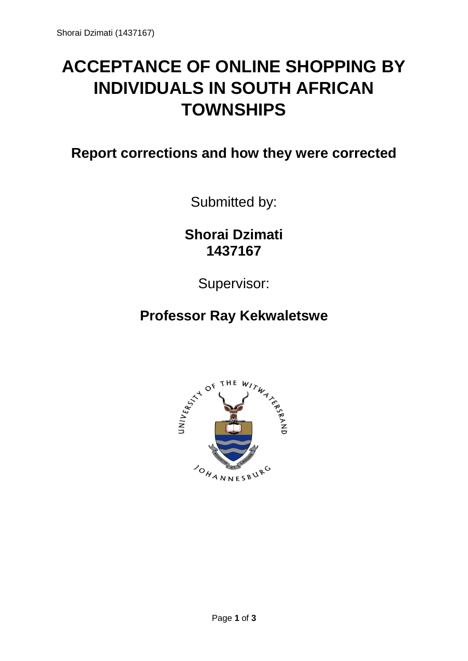## **ACCEPTANCE OF ONLINE SHOPPING BY INDIVIDUALS IN SOUTH AFRICAN TOWNSHIPS**

**Report corrections and how they were corrected**

Submitted by:

**Shorai Dzimati 1437167**

Supervisor:

**Professor Ray Kekwaletswe**

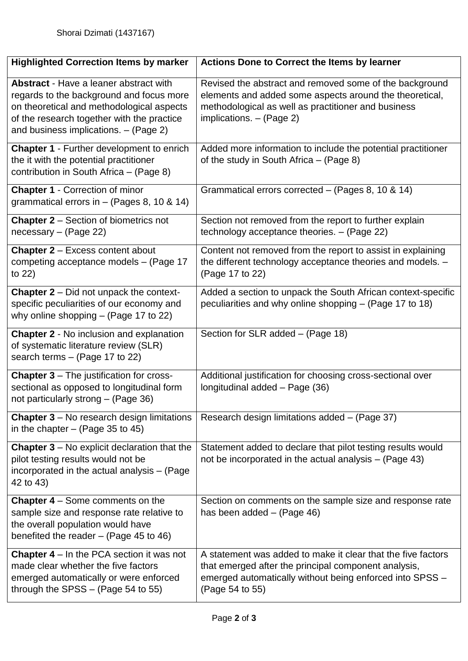| <b>Highlighted Correction Items by marker</b>                                                                                                                                                                                 | <b>Actions Done to Correct the Items by learner</b>                                                                                                                                                     |
|-------------------------------------------------------------------------------------------------------------------------------------------------------------------------------------------------------------------------------|---------------------------------------------------------------------------------------------------------------------------------------------------------------------------------------------------------|
| <b>Abstract</b> - Have a leaner abstract with<br>regards to the background and focus more<br>on theoretical and methodological aspects<br>of the research together with the practice<br>and business implications. - (Page 2) | Revised the abstract and removed some of the background<br>elements and added some aspects around the theoretical,<br>methodological as well as practitioner and business<br>implications. $-$ (Page 2) |
| <b>Chapter 1 - Further development to enrich</b><br>the it with the potential practitioner<br>contribution in South Africa - (Page 8)                                                                                         | Added more information to include the potential practitioner<br>of the study in South Africa - (Page 8)                                                                                                 |
| <b>Chapter 1 - Correction of minor</b><br>grammatical errors in $-$ (Pages 8, 10 & 14)                                                                                                                                        | Grammatical errors corrected – (Pages 8, 10 & 14)                                                                                                                                                       |
| <b>Chapter 2</b> – Section of biometrics not<br>$necessary - (Page 22)$                                                                                                                                                       | Section not removed from the report to further explain<br>technology acceptance theories. - (Page 22)                                                                                                   |
| <b>Chapter 2 - Excess content about</b><br>competing acceptance models - (Page 17<br>to $22)$                                                                                                                                 | Content not removed from the report to assist in explaining<br>the different technology acceptance theories and models. -<br>(Page 17 to 22)                                                            |
| <b>Chapter 2</b> – Did not unpack the context-<br>specific peculiarities of our economy and<br>why online shopping $-$ (Page 17 to 22)                                                                                        | Added a section to unpack the South African context-specific<br>peculiarities and why online shopping – (Page 17 to 18)                                                                                 |
| <b>Chapter 2 - No inclusion and explanation</b><br>of systematic literature review (SLR)<br>search terms $-$ (Page 17 to 22)                                                                                                  | Section for SLR added - (Page 18)                                                                                                                                                                       |
| <b>Chapter 3</b> – The justification for cross-<br>sectional as opposed to longitudinal form<br>not particularly strong - (Page 36)                                                                                           | Additional justification for choosing cross-sectional over<br>Iongitudinal added - Page (36)                                                                                                            |
| <b>Chapter 3</b> – No research design limitations<br>in the chapter $-$ (Page 35 to 45)                                                                                                                                       | Research design limitations added - (Page 37)                                                                                                                                                           |
| <b>Chapter 3</b> – No explicit declaration that the<br>pilot testing results would not be<br>incorporated in the actual analysis - (Page<br>42 to 43)                                                                         | Statement added to declare that pilot testing results would<br>not be incorporated in the actual analysis $-$ (Page 43)                                                                                 |
| <b>Chapter 4</b> $-$ Some comments on the<br>sample size and response rate relative to<br>the overall population would have<br>benefited the reader $-$ (Page 45 to 46)                                                       | Section on comments on the sample size and response rate<br>has been added $-$ (Page 46)                                                                                                                |
| <b>Chapter 4</b> $-$ In the PCA section it was not<br>made clear whether the five factors<br>emerged automatically or were enforced<br>through the SPSS $-$ (Page 54 to 55)                                                   | A statement was added to make it clear that the five factors<br>that emerged after the principal component analysis,<br>emerged automatically without being enforced into SPSS -<br>(Page 54 to 55)     |